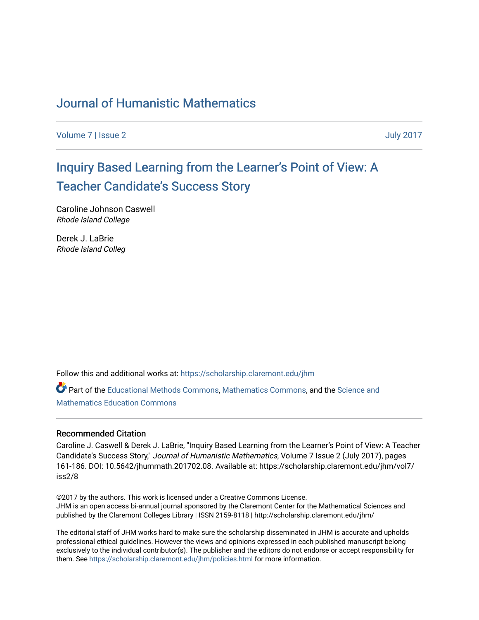# [Journal of Humanistic Mathematics](https://scholarship.claremont.edu/jhm)

[Volume 7](https://scholarship.claremont.edu/jhm/vol7) | [Issue 2](https://scholarship.claremont.edu/jhm/vol7/iss2) July 2017

# Inquir[y Based Learning from the Learner](https://scholarship.claremont.edu/jhm/vol7/iss2/8)'s Point of View: A T[eacher Candidate's Success St](https://scholarship.claremont.edu/jhm/vol7/iss2/8)ory

Caroline Johnson Caswell Rhode Island College

Derek J. LaBrie Rhode Island Colleg

Follow this and additional works at: [https://scholarship.claremont.edu/jhm](https://scholarship.claremont.edu/jhm?utm_source=scholarship.claremont.edu%2Fjhm%2Fvol7%2Fiss2%2F8&utm_medium=PDF&utm_campaign=PDFCoverPages)

Part of the [Educational Methods Commons,](http://network.bepress.com/hgg/discipline/1227?utm_source=scholarship.claremont.edu%2Fjhm%2Fvol7%2Fiss2%2F8&utm_medium=PDF&utm_campaign=PDFCoverPages) [Mathematics Commons](http://network.bepress.com/hgg/discipline/174?utm_source=scholarship.claremont.edu%2Fjhm%2Fvol7%2Fiss2%2F8&utm_medium=PDF&utm_campaign=PDFCoverPages), and the [Science and](http://network.bepress.com/hgg/discipline/800?utm_source=scholarship.claremont.edu%2Fjhm%2Fvol7%2Fiss2%2F8&utm_medium=PDF&utm_campaign=PDFCoverPages) [Mathematics Education Commons](http://network.bepress.com/hgg/discipline/800?utm_source=scholarship.claremont.edu%2Fjhm%2Fvol7%2Fiss2%2F8&utm_medium=PDF&utm_campaign=PDFCoverPages) 

#### Recommended Citation

Caroline J. Caswell & Derek J. LaBrie, "Inquiry Based Learning from the Learner's Point of View: A Teacher Candidate's Success Story," Journal of Humanistic Mathematics, Volume 7 Issue 2 (July 2017), pages 161-186. DOI: 10.5642/jhummath.201702.08. Available at: https://scholarship.claremont.edu/jhm/vol7/ iss2/8

©2017 by the authors. This work is licensed under a Creative Commons License. JHM is an open access bi-annual journal sponsored by the Claremont Center for the Mathematical Sciences and published by the Claremont Colleges Library | ISSN 2159-8118 | http://scholarship.claremont.edu/jhm/

The editorial staff of JHM works hard to make sure the scholarship disseminated in JHM is accurate and upholds professional ethical guidelines. However the views and opinions expressed in each published manuscript belong exclusively to the individual contributor(s). The publisher and the editors do not endorse or accept responsibility for them. See<https://scholarship.claremont.edu/jhm/policies.html> for more information.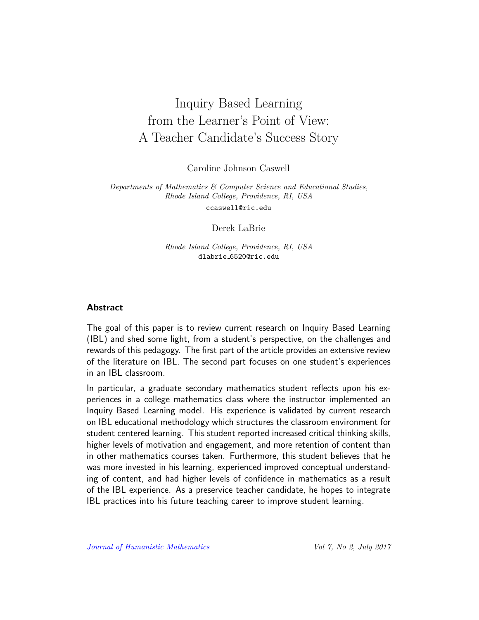# Inquiry Based Learning from the Learner's Point of View: A Teacher Candidate's Success Story

Caroline Johnson Caswell

Departments of Mathematics & Computer Science and Educational Studies, Rhode Island College, Providence, RI, USA ccaswell@ric.edu

Derek LaBrie

Rhode Island College, Providence, RI, USA dlabrie 6520@ric.edu

#### **Abstract**

The goal of this paper is to review current research on Inquiry Based Learning (IBL) and shed some light, from a student's perspective, on the challenges and rewards of this pedagogy. The first part of the article provides an extensive review of the literature on IBL. The second part focuses on one student's experiences in an IBL classroom.

In particular, a graduate secondary mathematics student reflects upon his experiences in a college mathematics class where the instructor implemented an Inquiry Based Learning model. His experience is validated by current research on IBL educational methodology which structures the classroom environment for student centered learning. This student reported increased critical thinking skills, higher levels of motivation and engagement, and more retention of content than in other mathematics courses taken. Furthermore, this student believes that he was more invested in his learning, experienced improved conceptual understanding of content, and had higher levels of confidence in mathematics as a result of the IBL experience. As a preservice teacher candidate, he hopes to integrate IBL practices into his future teaching career to improve student learning.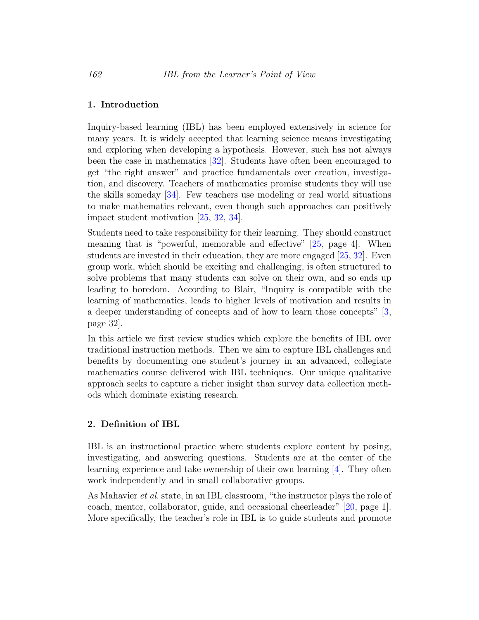#### 1. Introduction

Inquiry-based learning (IBL) has been employed extensively in science for many years. It is widely accepted that learning science means investigating and exploring when developing a hypothesis. However, such has not always been the case in mathematics [\[32\]](#page-22-0). Students have often been encouraged to get "the right answer" and practice fundamentals over creation, investigation, and discovery. Teachers of mathematics promise students they will use the skills someday  $[34]$ . Few teachers use modeling or real world situations to make mathematics relevant, even though such approaches can positively impact student motivation [\[25,](#page-22-1) [32,](#page-22-0) [34\]](#page-23-0).

Students need to take responsibility for their learning. They should construct meaning that is "powerful, memorable and effective" [\[25,](#page-22-1) page 4]. When students are invested in their education, they are more engaged [\[25,](#page-22-1) [32\]](#page-22-0). Even group work, which should be exciting and challenging, is often structured to solve problems that many students can solve on their own, and so ends up leading to boredom. According to Blair, "Inquiry is compatible with the learning of mathematics, leads to higher levels of motivation and results in a deeper understanding of concepts and of how to learn those concepts" [\[3,](#page-19-0) page 32].

In this article we first review studies which explore the benefits of IBL over traditional instruction methods. Then we aim to capture IBL challenges and benefits by documenting one student's journey in an advanced, collegiate mathematics course delivered with IBL techniques. Our unique qualitative approach seeks to capture a richer insight than survey data collection methods which dominate existing research.

#### 2. Definition of IBL

IBL is an instructional practice where students explore content by posing, investigating, and answering questions. Students are at the center of the learning experience and take ownership of their own learning [\[4\]](#page-19-1). They often work independently and in small collaborative groups.

As Mahavier *et al.* state, in an IBL classroom, "the instructor plays the role of coach, mentor, collaborator, guide, and occasional cheerleader" [\[20,](#page-21-0) page 1]. More specifically, the teacher's role in IBL is to guide students and promote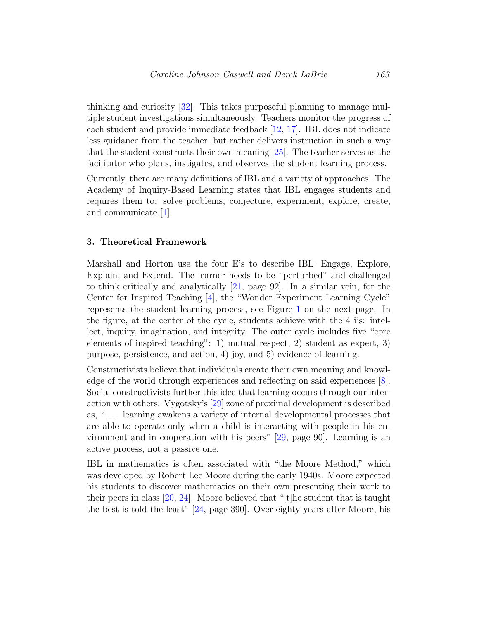thinking and curiosity [\[32\]](#page-22-0). This takes purposeful planning to manage multiple student investigations simultaneously. Teachers monitor the progress of each student and provide immediate feedback [\[12,](#page-20-0) [17\]](#page-21-1). IBL does not indicate less guidance from the teacher, but rather delivers instruction in such a way that the student constructs their own meaning [\[25\]](#page-22-1). The teacher serves as the facilitator who plans, instigates, and observes the student learning process.

Currently, there are many definitions of IBL and a variety of approaches. The Academy of Inquiry-Based Learning states that IBL engages students and requires them to: solve problems, conjecture, experiment, explore, create, and communicate [\[1\]](#page-19-2).

#### 3. Theoretical Framework

Marshall and Horton use the four E's to describe IBL: Engage, Explore, Explain, and Extend. The learner needs to be "perturbed" and challenged to think critically and analytically [\[21,](#page-21-2) page 92]. In a similar vein, for the Center for Inspired Teaching [\[4\]](#page-19-1), the "Wonder Experiment Learning Cycle" represents the student learning process, see Figure [1](#page-4-0) on the next page. In the figure, at the center of the cycle, students achieve with the 4 i's: intellect, inquiry, imagination, and integrity. The outer cycle includes five "core elements of inspired teaching": 1) mutual respect, 2) student as expert, 3) purpose, persistence, and action, 4) joy, and 5) evidence of learning.

Constructivists believe that individuals create their own meaning and knowledge of the world through experiences and reflecting on said experiences [\[8\]](#page-20-1). Social constructivists further this idea that learning occurs through our interaction with others. Vygotsky's [\[29\]](#page-22-2) zone of proximal development is described as, " . . . learning awakens a variety of internal developmental processes that are able to operate only when a child is interacting with people in his environment and in cooperation with his peers" [\[29,](#page-22-2) page 90]. Learning is an active process, not a passive one.

IBL in mathematics is often associated with "the Moore Method," which was developed by Robert Lee Moore during the early 1940s. Moore expected his students to discover mathematics on their own presenting their work to their peers in class  $[20, 24]$  $[20, 24]$  $[20, 24]$ . Moore believed that "[t]he student that is taught the best is told the least" [\[24,](#page-22-3) page 390]. Over eighty years after Moore, his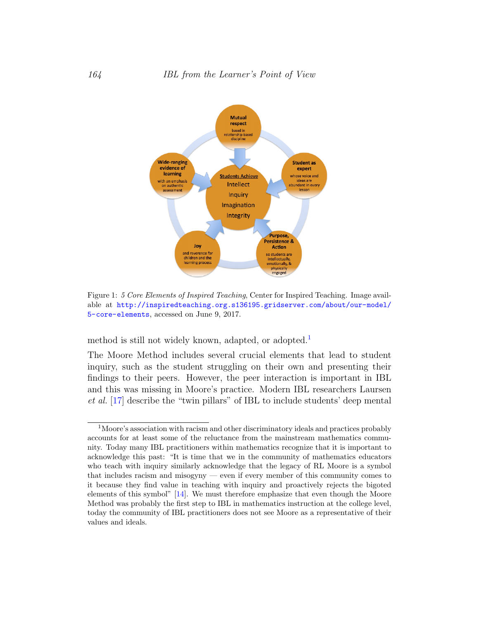

<span id="page-4-0"></span>Figure 1: 5 Core Elements of Inspired Teaching, Center for Inspired Teaching. Image available at [http://inspiredteaching.org.s136195.gridserver.com/about/our-model/](http://inspiredteaching.org.s136195.gridserver.com/about/our-model/5-core-elements) [5-core-elements](http://inspiredteaching.org.s136195.gridserver.com/about/our-model/5-core-elements), accessed on June 9, 2017.

method is still not widely known, adapted, or adopted.<sup>[1](#page-4-1)</sup>

The Moore Method includes several crucial elements that lead to student inquiry, such as the student struggling on their own and presenting their findings to their peers. However, the peer interaction is important in IBL and this was missing in Moore's practice. Modern IBL researchers Laursen et al. [\[17\]](#page-21-1) describe the "twin pillars" of IBL to include students' deep mental

<span id="page-4-1"></span><sup>1</sup>Moore's association with racism and other discriminatory ideals and practices probably accounts for at least some of the reluctance from the mainstream mathematics community. Today many IBL practitioners within mathematics recognize that it is important to acknowledge this past: "It is time that we in the community of mathematics educators who teach with inquiry similarly acknowledge that the legacy of RL Moore is a symbol that includes racism and misogyny — even if every member of this community comes to it because they find value in teaching with inquiry and proactively rejects the bigoted elements of this symbol" [\[14\]](#page-20-2). We must therefore emphasize that even though the Moore Method was probably the first step to IBL in mathematics instruction at the college level, today the community of IBL practitioners does not see Moore as a representative of their values and ideals.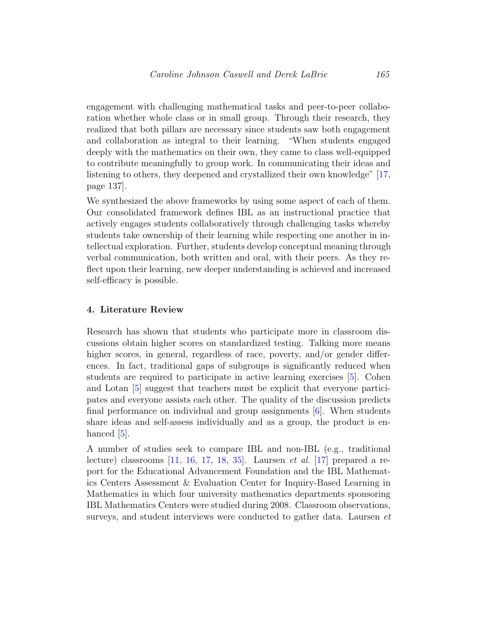engagement with challenging mathematical tasks and peer-to-peer collaboration whether whole class or in small group. Through their research, they realized that both pillars are necessary since students saw both engagement and collaboration as integral to their learning. "When students engaged deeply with the mathematics on their own, they came to class well-equipped to contribute meaningfully to group work. In communicating their ideas and listening to others, they deepened and crystallized their own knowledge" [\[17,](#page-21-1) page 137].

We synthesized the above frameworks by using some aspect of each of them. Our consolidated framework defines IBL as an instructional practice that actively engages students collaboratively through challenging tasks whereby students take ownership of their learning while respecting one another in intellectual exploration. Further, students develop conceptual meaning through verbal communication, both written and oral, with their peers. As they reflect upon their learning, new deeper understanding is achieved and increased self-efficacy is possible.

#### 4. Literature Review

Research has shown that students who participate more in classroom discussions obtain higher scores on standardized testing. Talking more means higher scores, in general, regardless of race, poverty, and/or gender differences. In fact, traditional gaps of subgroups is significantly reduced when students are required to participate in active learning exercises [\[5\]](#page-19-3). Cohen and Lotan [\[5\]](#page-19-3) suggest that teachers must be explicit that everyone participates and everyone assists each other. The quality of the discussion predicts final performance on individual and group assignments  $[6]$ . When students share ideas and self-assess individually and as a group, the product is enhanced  $[5]$ .

A number of studies seek to compare IBL and non-IBL (e.g., traditional lecture) classrooms  $[11, 16, 17, 18, 35]$  $[11, 16, 17, 18, 35]$  $[11, 16, 17, 18, 35]$  $[11, 16, 17, 18, 35]$  $[11, 16, 17, 18, 35]$  $[11, 16, 17, 18, 35]$  $[11, 16, 17, 18, 35]$  $[11, 16, 17, 18, 35]$  $[11, 16, 17, 18, 35]$ . Laursen *et al.*  $[17]$  prepared a report for the Educational Advancement Foundation and the IBL Mathematics Centers Assessment & Evaluation Center for Inquiry-Based Learning in Mathematics in which four university mathematics departments sponsoring IBL Mathematics Centers were studied during 2008. Classroom observations, surveys, and student interviews were conducted to gather data. Laursen et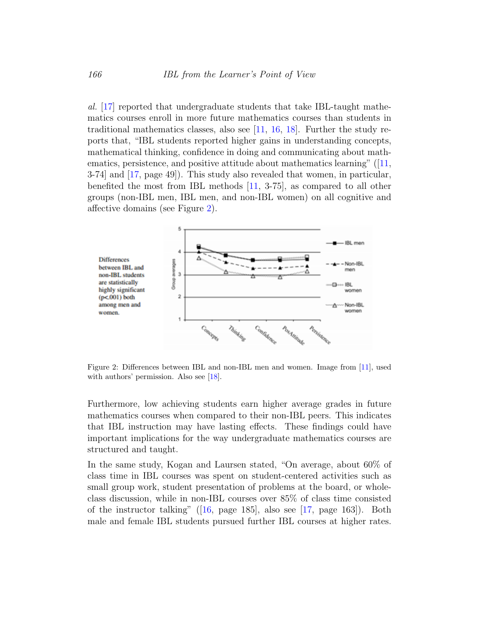al. [\[17\]](#page-21-1) reported that undergraduate students that take IBL-taught mathematics courses enroll in more future mathematics courses than students in traditional mathematics classes, also see [\[11,](#page-20-3) [16,](#page-21-3) [18\]](#page-21-4). Further the study reports that, "IBL students reported higher gains in understanding concepts, mathematical thinking, confidence in doing and communicating about mathematics, persistence, and positive attitude about mathematics learning" ([\[11,](#page-20-3) 3-74] and [\[17,](#page-21-1) page 49]). This study also revealed that women, in particular, benefited the most from IBL methods [\[11,](#page-20-3) 3-75], as compared to all other groups (non-IBL men, IBL men, and non-IBL women) on all cognitive and affective domains (see Figure [2\)](#page-6-0).



<span id="page-6-0"></span>Figure 2: Differences between IBL and non-IBL men and women. Image from [\[11\]](#page-20-3), used with authors' permission. Also see [\[18\]](#page-21-4).

Furthermore, low achieving students earn higher average grades in future mathematics courses when compared to their non-IBL peers. This indicates that IBL instruction may have lasting effects. These findings could have important implications for the way undergraduate mathematics courses are structured and taught.

In the same study, Kogan and Laursen stated, "On average, about 60% of class time in IBL courses was spent on student-centered activities such as small group work, student presentation of problems at the board, or wholeclass discussion, while in non-IBL courses over 85% of class time consisted of the instructor talking" ([\[16,](#page-21-3) page 185], also see [\[17,](#page-21-1) page 163]). Both male and female IBL students pursued further IBL courses at higher rates.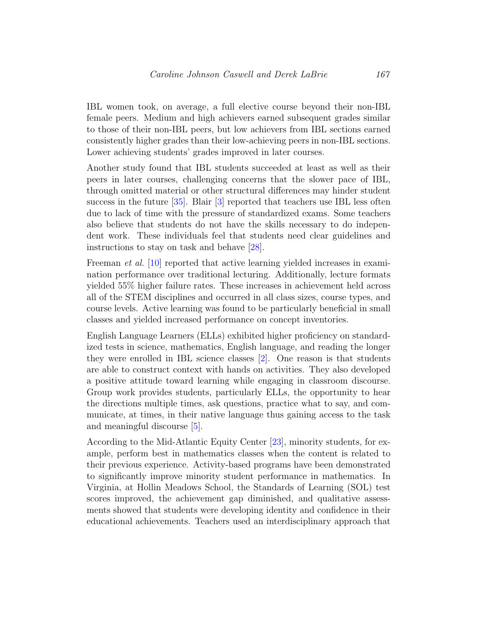IBL women took, on average, a full elective course beyond their non-IBL female peers. Medium and high achievers earned subsequent grades similar to those of their non-IBL peers, but low achievers from IBL sections earned consistently higher grades than their low-achieving peers in non-IBL sections. Lower achieving students' grades improved in later courses.

Another study found that IBL students succeeded at least as well as their peers in later courses, challenging concerns that the slower pace of IBL, through omitted material or other structural differences may hinder student success in the future [\[35\]](#page-23-1). Blair [\[3\]](#page-19-0) reported that teachers use IBL less often due to lack of time with the pressure of standardized exams. Some teachers also believe that students do not have the skills necessary to do independent work. These individuals feel that students need clear guidelines and instructions to stay on task and behave [\[28\]](#page-22-4).

Freeman *et al.* [\[10\]](#page-20-4) reported that active learning yielded increases in examination performance over traditional lecturing. Additionally, lecture formats yielded 55% higher failure rates. These increases in achievement held across all of the STEM disciplines and occurred in all class sizes, course types, and course levels. Active learning was found to be particularly beneficial in small classes and yielded increased performance on concept inventories.

English Language Learners (ELLs) exhibited higher proficiency on standardized tests in science, mathematics, English language, and reading the longer they were enrolled in IBL science classes [\[2\]](#page-19-5). One reason is that students are able to construct context with hands on activities. They also developed a positive attitude toward learning while engaging in classroom discourse. Group work provides students, particularly ELLs, the opportunity to hear the directions multiple times, ask questions, practice what to say, and communicate, at times, in their native language thus gaining access to the task and meaningful discourse [\[5\]](#page-19-3).

According to the Mid-Atlantic Equity Center [\[23\]](#page-22-5), minority students, for example, perform best in mathematics classes when the content is related to their previous experience. Activity-based programs have been demonstrated to significantly improve minority student performance in mathematics. In Virginia, at Hollin Meadows School, the Standards of Learning (SOL) test scores improved, the achievement gap diminished, and qualitative assessments showed that students were developing identity and confidence in their educational achievements. Teachers used an interdisciplinary approach that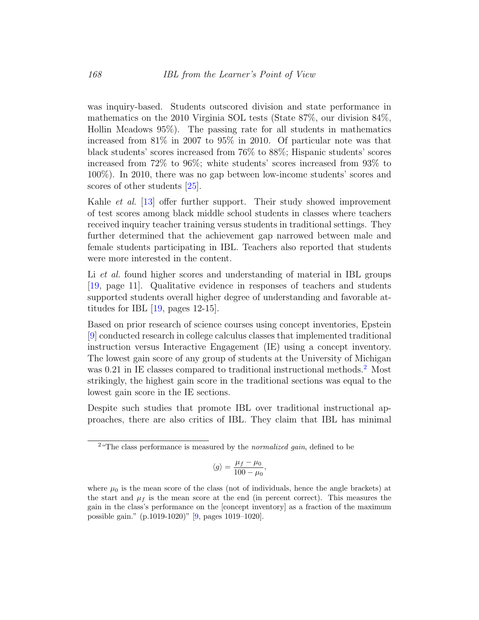was inquiry-based. Students outscored division and state performance in mathematics on the 2010 Virginia SOL tests (State 87%, our division 84%, Hollin Meadows 95%). The passing rate for all students in mathematics increased from 81% in 2007 to 95% in 2010. Of particular note was that black students' scores increased from 76% to 88%; Hispanic students' scores increased from 72% to 96%; white students' scores increased from 93% to 100%). In 2010, there was no gap between low-income students' scores and scores of other students [\[25\]](#page-22-1).

Kahle *et al.* [\[13\]](#page-20-5) offer further support. Their study showed improvement of test scores among black middle school students in classes where teachers received inquiry teacher training versus students in traditional settings. They further determined that the achievement gap narrowed between male and female students participating in IBL. Teachers also reported that students were more interested in the content.

Li *et al.* found higher scores and understanding of material in IBL groups [\[19,](#page-21-5) page 11]. Qualitative evidence in responses of teachers and students supported students overall higher degree of understanding and favorable attitudes for IBL  $[19, \text{pages } 12-15]$  $[19, \text{pages } 12-15]$ .

Based on prior research of science courses using concept inventories, Epstein [\[9\]](#page-20-6) conducted research in college calculus classes that implemented traditional instruction versus Interactive Engagement (IE) using a concept inventory. The lowest gain score of any group of students at the University of Michigan was 0.[2](#page-8-0)1 in IE classes compared to traditional instructional methods.<sup>2</sup> Most strikingly, the highest gain score in the traditional sections was equal to the lowest gain score in the IE sections.

Despite such studies that promote IBL over traditional instructional approaches, there are also critics of IBL. They claim that IBL has minimal

$$
\langle g \rangle = \frac{\mu_f - \mu_0}{100 - \mu_0},
$$

<span id="page-8-0"></span><sup>&</sup>lt;sup>2</sup> The class performance is measured by the *normalized gain*, defined to be

where  $\mu_0$  is the mean score of the class (not of individuals, hence the angle brackets) at the start and  $\mu_f$  is the mean score at the end (in percent correct). This measures the gain in the class's performance on the [concept inventory] as a fraction of the maximum possible gain." (p.1019-1020)" [\[9,](#page-20-6) pages 1019–1020].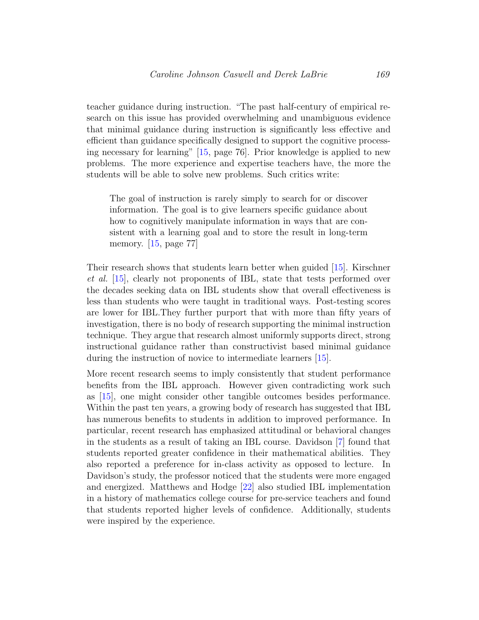teacher guidance during instruction. "The past half-century of empirical research on this issue has provided overwhelming and unambiguous evidence that minimal guidance during instruction is significantly less effective and efficient than guidance specifically designed to support the cognitive processing necessary for learning" [\[15,](#page-20-7) page 76]. Prior knowledge is applied to new problems. The more experience and expertise teachers have, the more the students will be able to solve new problems. Such critics write:

The goal of instruction is rarely simply to search for or discover information. The goal is to give learners specific guidance about how to cognitively manipulate information in ways that are consistent with a learning goal and to store the result in long-term memory. [\[15,](#page-20-7) page 77]

Their research shows that students learn better when guided [\[15\]](#page-20-7). Kirschner et al. [\[15\]](#page-20-7), clearly not proponents of IBL, state that tests performed over the decades seeking data on IBL students show that overall effectiveness is less than students who were taught in traditional ways. Post-testing scores are lower for IBL.They further purport that with more than fifty years of investigation, there is no body of research supporting the minimal instruction technique. They argue that research almost uniformly supports direct, strong instructional guidance rather than constructivist based minimal guidance during the instruction of novice to intermediate learners [\[15\]](#page-20-7).

More recent research seems to imply consistently that student performance benefits from the IBL approach. However given contradicting work such as [\[15\]](#page-20-7), one might consider other tangible outcomes besides performance. Within the past ten years, a growing body of research has suggested that IBL has numerous benefits to students in addition to improved performance. In particular, recent research has emphasized attitudinal or behavioral changes in the students as a result of taking an IBL course. Davidson [\[7\]](#page-20-8) found that students reported greater confidence in their mathematical abilities. They also reported a preference for in-class activity as opposed to lecture. In Davidson's study, the professor noticed that the students were more engaged and energized. Matthews and Hodge [\[22\]](#page-21-6) also studied IBL implementation in a history of mathematics college course for pre-service teachers and found that students reported higher levels of confidence. Additionally, students were inspired by the experience.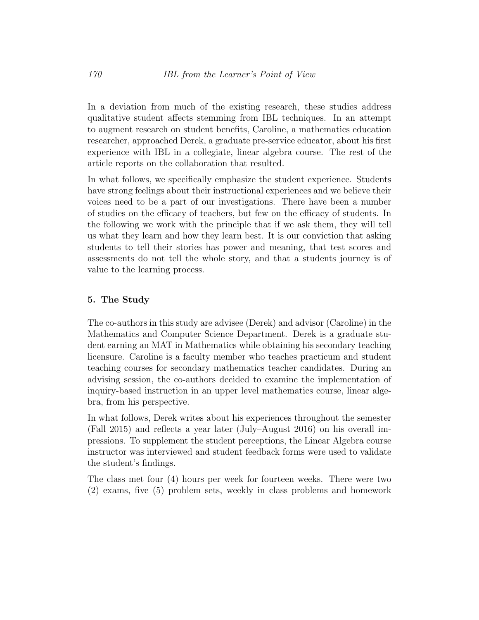In a deviation from much of the existing research, these studies address qualitative student affects stemming from IBL techniques. In an attempt to augment research on student benefits, Caroline, a mathematics education researcher, approached Derek, a graduate pre-service educator, about his first experience with IBL in a collegiate, linear algebra course. The rest of the article reports on the collaboration that resulted.

In what follows, we specifically emphasize the student experience. Students have strong feelings about their instructional experiences and we believe their voices need to be a part of our investigations. There have been a number of studies on the efficacy of teachers, but few on the efficacy of students. In the following we work with the principle that if we ask them, they will tell us what they learn and how they learn best. It is our conviction that asking students to tell their stories has power and meaning, that test scores and assessments do not tell the whole story, and that a students journey is of value to the learning process.

#### 5. The Study

The co-authors in this study are advisee (Derek) and advisor (Caroline) in the Mathematics and Computer Science Department. Derek is a graduate student earning an MAT in Mathematics while obtaining his secondary teaching licensure. Caroline is a faculty member who teaches practicum and student teaching courses for secondary mathematics teacher candidates. During an advising session, the co-authors decided to examine the implementation of inquiry-based instruction in an upper level mathematics course, linear algebra, from his perspective.

In what follows, Derek writes about his experiences throughout the semester (Fall 2015) and reflects a year later (July–August 2016) on his overall impressions. To supplement the student perceptions, the Linear Algebra course instructor was interviewed and student feedback forms were used to validate the student's findings.

The class met four (4) hours per week for fourteen weeks. There were two (2) exams, five (5) problem sets, weekly in class problems and homework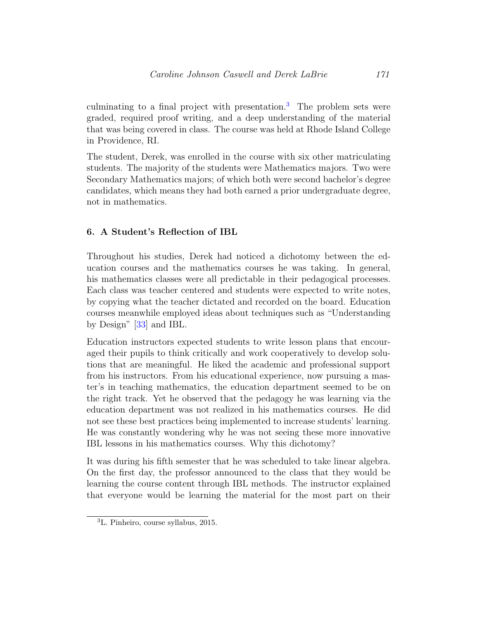culminating to a final project with presentation.<sup>[3](#page-11-0)</sup> The problem sets were graded, required proof writing, and a deep understanding of the material that was being covered in class. The course was held at Rhode Island College in Providence, RI.

The student, Derek, was enrolled in the course with six other matriculating students. The majority of the students were Mathematics majors. Two were Secondary Mathematics majors; of which both were second bachelor's degree candidates, which means they had both earned a prior undergraduate degree, not in mathematics.

# 6. A Student's Reflection of IBL

Throughout his studies, Derek had noticed a dichotomy between the education courses and the mathematics courses he was taking. In general, his mathematics classes were all predictable in their pedagogical processes. Each class was teacher centered and students were expected to write notes, by copying what the teacher dictated and recorded on the board. Education courses meanwhile employed ideas about techniques such as "Understanding by Design" [\[33\]](#page-22-6) and IBL.

Education instructors expected students to write lesson plans that encouraged their pupils to think critically and work cooperatively to develop solutions that are meaningful. He liked the academic and professional support from his instructors. From his educational experience, now pursuing a master's in teaching mathematics, the education department seemed to be on the right track. Yet he observed that the pedagogy he was learning via the education department was not realized in his mathematics courses. He did not see these best practices being implemented to increase students' learning. He was constantly wondering why he was not seeing these more innovative IBL lessons in his mathematics courses. Why this dichotomy?

It was during his fifth semester that he was scheduled to take linear algebra. On the first day, the professor announced to the class that they would be learning the course content through IBL methods. The instructor explained that everyone would be learning the material for the most part on their

<span id="page-11-0"></span><sup>3</sup>L. Pinheiro, course syllabus, 2015.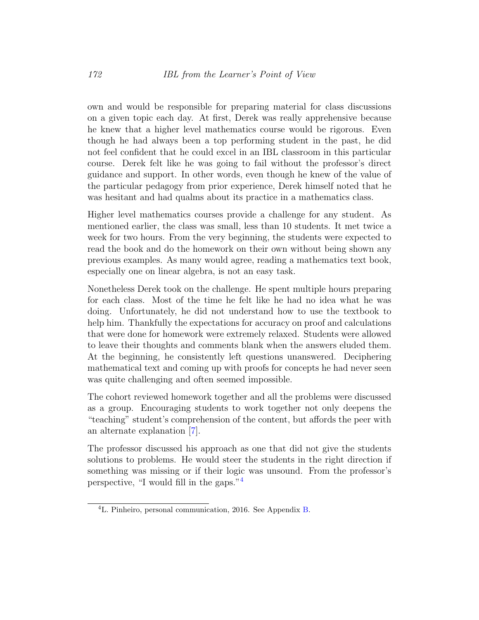own and would be responsible for preparing material for class discussions on a given topic each day. At first, Derek was really apprehensive because he knew that a higher level mathematics course would be rigorous. Even though he had always been a top performing student in the past, he did not feel confident that he could excel in an IBL classroom in this particular course. Derek felt like he was going to fail without the professor's direct guidance and support. In other words, even though he knew of the value of the particular pedagogy from prior experience, Derek himself noted that he was hesitant and had qualms about its practice in a mathematics class.

Higher level mathematics courses provide a challenge for any student. As mentioned earlier, the class was small, less than 10 students. It met twice a week for two hours. From the very beginning, the students were expected to read the book and do the homework on their own without being shown any previous examples. As many would agree, reading a mathematics text book, especially one on linear algebra, is not an easy task.

Nonetheless Derek took on the challenge. He spent multiple hours preparing for each class. Most of the time he felt like he had no idea what he was doing. Unfortunately, he did not understand how to use the textbook to help him. Thankfully the expectations for accuracy on proof and calculations that were done for homework were extremely relaxed. Students were allowed to leave their thoughts and comments blank when the answers eluded them. At the beginning, he consistently left questions unanswered. Deciphering mathematical text and coming up with proofs for concepts he had never seen was quite challenging and often seemed impossible.

The cohort reviewed homework together and all the problems were discussed as a group. Encouraging students to work together not only deepens the "teaching" student's comprehension of the content, but affords the peer with an alternate explanation [\[7\]](#page-20-8).

The professor discussed his approach as one that did not give the students solutions to problems. He would steer the students in the right direction if something was missing or if their logic was unsound. From the professor's perspective, "I would fill in the gaps."[4](#page-12-0)

<span id="page-12-0"></span><sup>4</sup>L. Pinheiro, personal communication, 2016. See Appendix [B.](#page-24-0)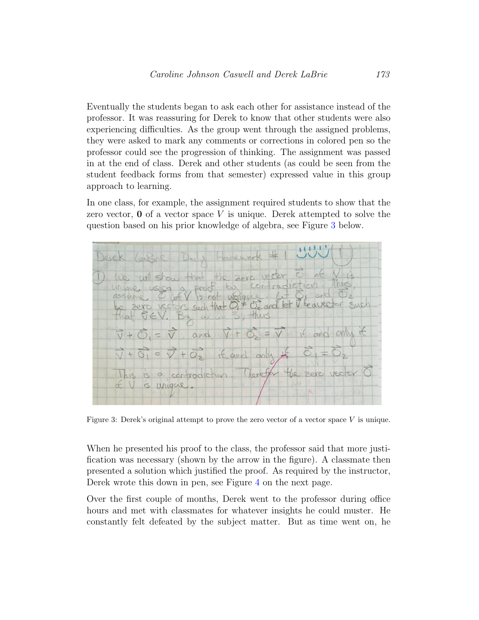Eventually the students began to ask each other for assistance instead of the professor. It was reassuring for Derek to know that other students were also experiencing difficulties. As the group went through the assigned problems, they were asked to mark any comments or corrections in colored pen so the professor could see the progression of thinking. The assignment was passed in at the end of class. Derek and other students (as could be seen from the student feedback forms from that semester) expressed value in this group approach to learning.

In one class, for example, the assignment required students to show that the zero vector,  $\bf{0}$  of a vector space V is unique. Derek attempted to solve the question based on his prior knowledge of algebra, see Figure [3](#page-13-0) below.



<span id="page-13-0"></span>Figure 3: Derek's original attempt to prove the zero vector of a vector space V is unique.

When he presented his proof to the class, the professor said that more justification was necessary (shown by the arrow in the figure). A classmate then presented a solution which justified the proof. As required by the instructor, Derek wrote this down in pen, see Figure [4](#page-14-0) on the next page.

Over the first couple of months, Derek went to the professor during office hours and met with classmates for whatever insights he could muster. He constantly felt defeated by the subject matter. But as time went on, he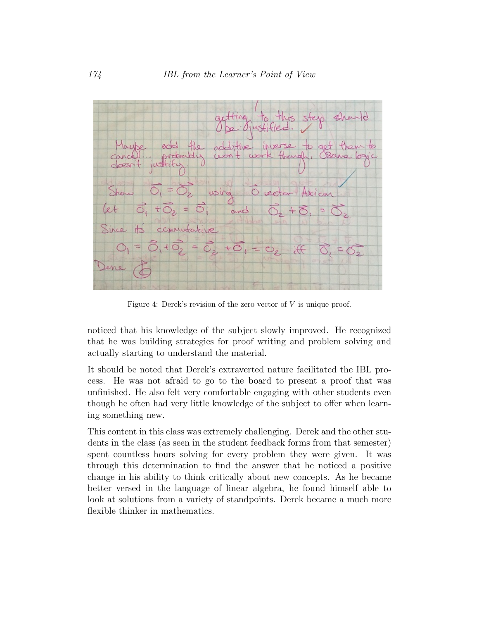

<span id="page-14-0"></span>Figure 4: Derek's revision of the zero vector of  $V$  is unique proof.

noticed that his knowledge of the subject slowly improved. He recognized that he was building strategies for proof writing and problem solving and actually starting to understand the material.

It should be noted that Derek's extraverted nature facilitated the IBL process. He was not afraid to go to the board to present a proof that was unfinished. He also felt very comfortable engaging with other students even though he often had very little knowledge of the subject to offer when learning something new.

This content in this class was extremely challenging. Derek and the other students in the class (as seen in the student feedback forms from that semester) spent countless hours solving for every problem they were given. It was through this determination to find the answer that he noticed a positive change in his ability to think critically about new concepts. As he became better versed in the language of linear algebra, he found himself able to look at solutions from a variety of standpoints. Derek became a much more flexible thinker in mathematics.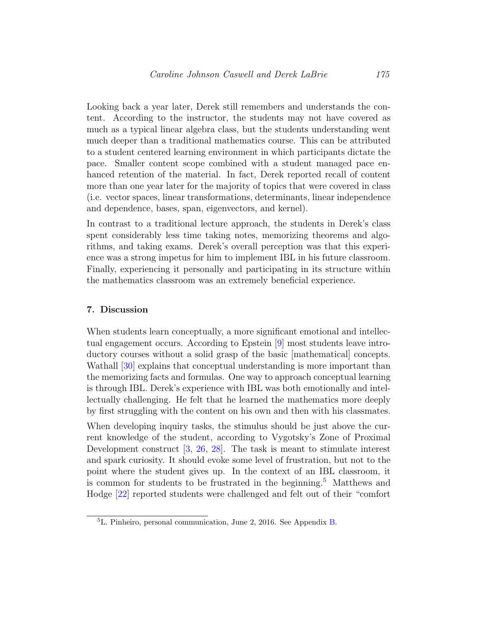Looking back a year later, Derek still remembers and understands the content. According to the instructor, the students may not have covered as much as a typical linear algebra class, but the students understanding went much deeper than a traditional mathematics course. This can be attributed to a student centered learning environment in which participants dictate the pace. Smaller content scope combined with a student managed pace enhanced retention of the material. In fact, Derek reported recall of content more than one year later for the majority of topics that were covered in class (i.e. vector spaces, linear transformations, determinants, linear independence and dependence, bases, span, eigenvectors, and kernel).

In contrast to a traditional lecture approach, the students in Derek's class spent considerably less time taking notes, memorizing theorems and algorithms, and taking exams. Derek's overall perception was that this experience was a strong impetus for him to implement IBL in his future classroom. Finally, experiencing it personally and participating in its structure within the mathematics classroom was an extremely beneficial experience.

#### 7. Discussion

When students learn conceptually, a more significant emotional and intellectual engagement occurs. According to Epstein [\[9\]](#page-20-6) most students leave introductory courses without a solid grasp of the basic [mathematical] concepts. Wathall  $[30]$  explains that conceptual understanding is more important than the memorizing facts and formulas. One way to approach conceptual learning is through IBL. Derek's experience with IBL was both emotionally and intellectually challenging. He felt that he learned the mathematics more deeply by first struggling with the content on his own and then with his classmates.

When developing inquiry tasks, the stimulus should be just above the current knowledge of the student, according to Vygotsky's Zone of Proximal Development construct [\[3,](#page-19-0) [26,](#page-22-8) [28\]](#page-22-4). The task is meant to stimulate interest and spark curiosity. It should evoke some level of frustration, but not to the point where the student gives up. In the context of an IBL classroom, it is common for students to be frustrated in the beginning.<sup>[5](#page-15-0)</sup> Matthews and Hodge [\[22\]](#page-21-6) reported students were challenged and felt out of their "comfort

<span id="page-15-0"></span><sup>5</sup>L. Pinheiro, personal communication, June 2, 2016. See Appendix [B.](#page-24-0)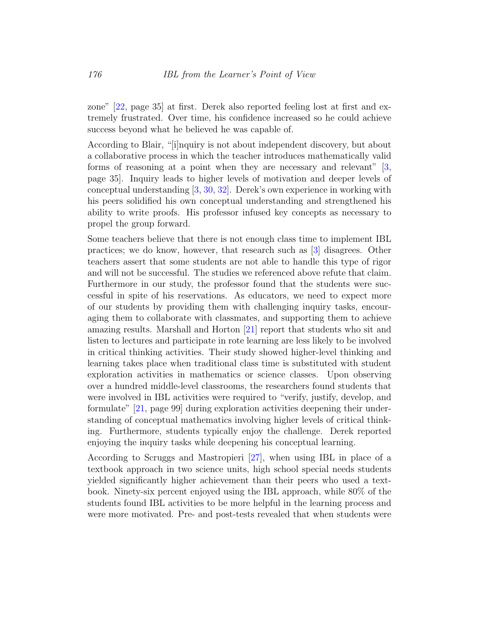zone" [\[22,](#page-21-6) page 35] at first. Derek also reported feeling lost at first and extremely frustrated. Over time, his confidence increased so he could achieve success beyond what he believed he was capable of.

According to Blair, "[i]nquiry is not about independent discovery, but about a collaborative process in which the teacher introduces mathematically valid forms of reasoning at a point when they are necessary and relevant" [\[3,](#page-19-0) page 35]. Inquiry leads to higher levels of motivation and deeper levels of conceptual understanding [\[3,](#page-19-0) [30,](#page-22-7) [32\]](#page-22-0). Derek's own experience in working with his peers solidified his own conceptual understanding and strengthened his ability to write proofs. His professor infused key concepts as necessary to propel the group forward.

Some teachers believe that there is not enough class time to implement IBL practices; we do know, however, that research such as [\[3\]](#page-19-0) disagrees. Other teachers assert that some students are not able to handle this type of rigor and will not be successful. The studies we referenced above refute that claim. Furthermore in our study, the professor found that the students were successful in spite of his reservations. As educators, we need to expect more of our students by providing them with challenging inquiry tasks, encouraging them to collaborate with classmates, and supporting them to achieve amazing results. Marshall and Horton [\[21\]](#page-21-2) report that students who sit and listen to lectures and participate in rote learning are less likely to be involved in critical thinking activities. Their study showed higher-level thinking and learning takes place when traditional class time is substituted with student exploration activities in mathematics or science classes. Upon observing over a hundred middle-level classrooms, the researchers found students that were involved in IBL activities were required to "verify, justify, develop, and formulate" [\[21,](#page-21-2) page 99] during exploration activities deepening their understanding of conceptual mathematics involving higher levels of critical thinking. Furthermore, students typically enjoy the challenge. Derek reported enjoying the inquiry tasks while deepening his conceptual learning.

According to Scruggs and Mastropieri [\[27\]](#page-22-9), when using IBL in place of a textbook approach in two science units, high school special needs students yielded significantly higher achievement than their peers who used a textbook. Ninety-six percent enjoyed using the IBL approach, while 80% of the students found IBL activities to be more helpful in the learning process and were more motivated. Pre- and post-tests revealed that when students were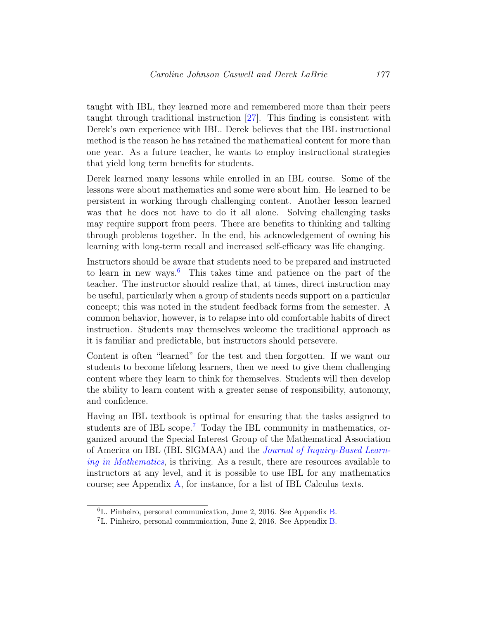taught with IBL, they learned more and remembered more than their peers taught through traditional instruction [\[27\]](#page-22-9). This finding is consistent with Derek's own experience with IBL. Derek believes that the IBL instructional method is the reason he has retained the mathematical content for more than one year. As a future teacher, he wants to employ instructional strategies that yield long term benefits for students.

Derek learned many lessons while enrolled in an IBL course. Some of the lessons were about mathematics and some were about him. He learned to be persistent in working through challenging content. Another lesson learned was that he does not have to do it all alone. Solving challenging tasks may require support from peers. There are benefits to thinking and talking through problems together. In the end, his acknowledgement of owning his learning with long-term recall and increased self-efficacy was life changing.

Instructors should be aware that students need to be prepared and instructed to learn in new ways.<sup>[6](#page-17-0)</sup> This takes time and patience on the part of the teacher. The instructor should realize that, at times, direct instruction may be useful, particularly when a group of students needs support on a particular concept; this was noted in the student feedback forms from the semester. A common behavior, however, is to relapse into old comfortable habits of direct instruction. Students may themselves welcome the traditional approach as it is familiar and predictable, but instructors should persevere.

Content is often "learned" for the test and then forgotten. If we want our students to become lifelong learners, then we need to give them challenging content where they learn to think for themselves. Students will then develop the ability to learn content with a greater sense of responsibility, autonomy, and confidence.

Having an IBL textbook is optimal for ensuring that the tasks assigned to students are of IBL scope.<sup>[7](#page-17-1)</sup> Today the IBL community in mathematics, organized around the Special Interest Group of the Mathematical Association of America on IBL (IBL SIGMAA) and the [Journal of Inquiry-Based Learn](http://www.jiblm.org)[ing in Mathematics](http://www.jiblm.org), is thriving. As a result, there are resources available to instructors at any level, and it is possible to use IBL for any mathematics course; see Appendix [A,](#page-24-1) for instance, for a list of IBL Calculus texts.

<span id="page-17-0"></span><sup>6</sup>L. Pinheiro, personal communication, June 2, 2016. See Appendix [B.](#page-24-0)

<span id="page-17-1"></span><sup>7</sup>L. Pinheiro, personal communication, June 2, 2016. See Appendix [B.](#page-24-0)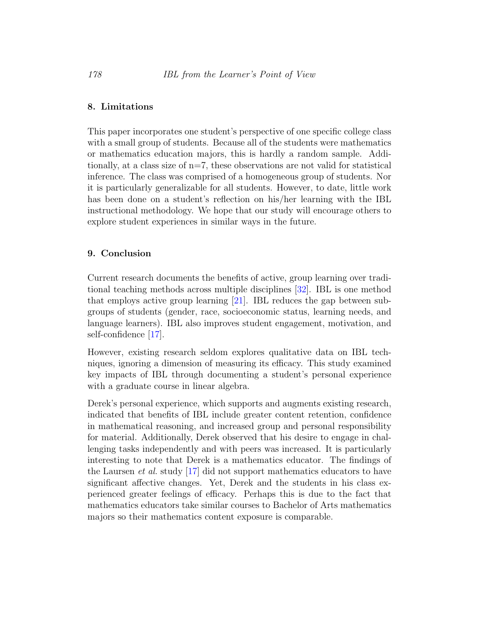#### 8. Limitations

This paper incorporates one student's perspective of one specific college class with a small group of students. Because all of the students were mathematics or mathematics education majors, this is hardly a random sample. Additionally, at a class size of  $n=7$ , these observations are not valid for statistical inference. The class was comprised of a homogeneous group of students. Nor it is particularly generalizable for all students. However, to date, little work has been done on a student's reflection on his/her learning with the IBL instructional methodology. We hope that our study will encourage others to explore student experiences in similar ways in the future.

## 9. Conclusion

Current research documents the benefits of active, group learning over traditional teaching methods across multiple disciplines [\[32\]](#page-22-0). IBL is one method that employs active group learning [\[21\]](#page-21-2). IBL reduces the gap between subgroups of students (gender, race, socioeconomic status, learning needs, and language learners). IBL also improves student engagement, motivation, and self-confidence [\[17\]](#page-21-1).

However, existing research seldom explores qualitative data on IBL techniques, ignoring a dimension of measuring its efficacy. This study examined key impacts of IBL through documenting a student's personal experience with a graduate course in linear algebra.

Derek's personal experience, which supports and augments existing research, indicated that benefits of IBL include greater content retention, confidence in mathematical reasoning, and increased group and personal responsibility for material. Additionally, Derek observed that his desire to engage in challenging tasks independently and with peers was increased. It is particularly interesting to note that Derek is a mathematics educator. The findings of the Laursen *et al.* study [\[17\]](#page-21-1) did not support mathematics educators to have significant affective changes. Yet, Derek and the students in his class experienced greater feelings of efficacy. Perhaps this is due to the fact that mathematics educators take similar courses to Bachelor of Arts mathematics majors so their mathematics content exposure is comparable.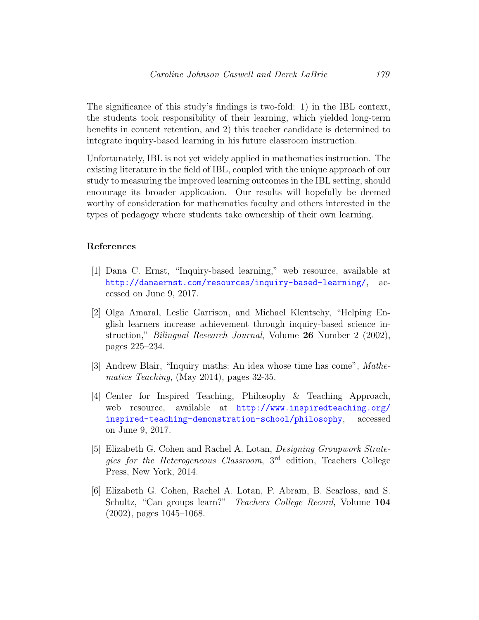The significance of this study's findings is two-fold: 1) in the IBL context, the students took responsibility of their learning, which yielded long-term benefits in content retention, and 2) this teacher candidate is determined to integrate inquiry-based learning in his future classroom instruction.

Unfortunately, IBL is not yet widely applied in mathematics instruction. The existing literature in the field of IBL, coupled with the unique approach of our study to measuring the improved learning outcomes in the IBL setting, should encourage its broader application. Our results will hopefully be deemed worthy of consideration for mathematics faculty and others interested in the types of pedagogy where students take ownership of their own learning.

#### References

- <span id="page-19-2"></span>[1] Dana C. Ernst, "Inquiry-based learning," web resource, available at <http://danaernst.com/resources/inquiry-based-learning/>, accessed on June 9, 2017.
- <span id="page-19-5"></span>[2] Olga Amaral, Leslie Garrison, and Michael Klentschy, "Helping English learners increase achievement through inquiry-based science instruction," Bilingual Research Journal, Volume 26 Number 2 (2002), pages 225–234.
- <span id="page-19-0"></span>[3] Andrew Blair, "Inquiry maths: An idea whose time has come", Mathematics Teaching, (May 2014), pages 32-35.
- <span id="page-19-1"></span>[4] Center for Inspired Teaching, Philosophy & Teaching Approach, web resource, available at [http://www.inspiredteaching.org/](http://www.inspiredteaching.org/inspired-teaching-demonstration-school/philosophy) [inspired-teaching-demonstration-school/philosophy](http://www.inspiredteaching.org/inspired-teaching-demonstration-school/philosophy), accessed on June 9, 2017.
- <span id="page-19-3"></span>[5] Elizabeth G. Cohen and Rachel A. Lotan, Designing Groupwork Strategies for the Heterogeneous Classroom, 3rd edition, Teachers College Press, New York, 2014.
- <span id="page-19-4"></span>[6] Elizabeth G. Cohen, Rachel A. Lotan, P. Abram, B. Scarloss, and S. Schultz, "Can groups learn?" Teachers College Record, Volume 104 (2002), pages 1045–1068.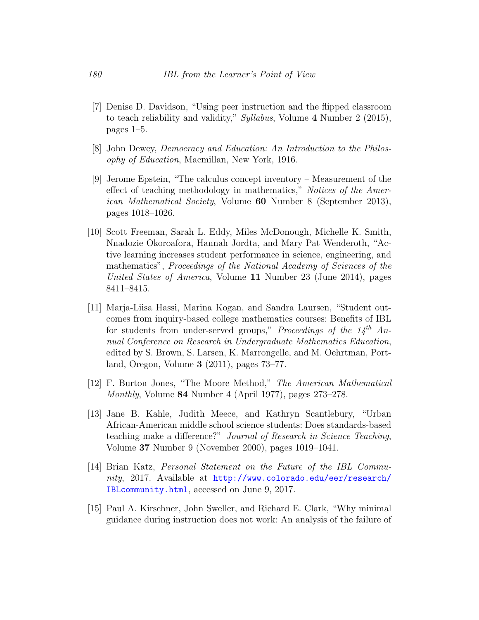- <span id="page-20-8"></span>[7] Denise D. Davidson, "Using peer instruction and the flipped classroom to teach reliability and validity," Syllabus, Volume 4 Number 2 (2015), pages 1–5.
- <span id="page-20-1"></span>[8] John Dewey, Democracy and Education: An Introduction to the Philosophy of Education, Macmillan, New York, 1916.
- <span id="page-20-6"></span>[9] Jerome Epstein, "The calculus concept inventory – Measurement of the effect of teaching methodology in mathematics," Notices of the American Mathematical Society, Volume 60 Number 8 (September 2013), pages 1018–1026.
- <span id="page-20-4"></span>[10] Scott Freeman, Sarah L. Eddy, Miles McDonough, Michelle K. Smith, Nnadozie Okoroafora, Hannah Jordta, and Mary Pat Wenderoth, "Active learning increases student performance in science, engineering, and mathematics", Proceedings of the National Academy of Sciences of the United States of America, Volume 11 Number 23 (June 2014), pages 8411–8415.
- <span id="page-20-3"></span>[11] Marja-Liisa Hassi, Marina Kogan, and Sandra Laursen, "Student outcomes from inquiry-based college mathematics courses: Benefits of IBL for students from under-served groups," Proceedings of the  $14^{th}$  Annual Conference on Research in Undergraduate Mathematics Education, edited by S. Brown, S. Larsen, K. Marrongelle, and M. Oehrtman, Portland, Oregon, Volume 3 (2011), pages 73–77.
- <span id="page-20-0"></span>[12] F. Burton Jones, "The Moore Method," The American Mathematical Monthly, Volume 84 Number 4 (April 1977), pages 273–278.
- <span id="page-20-5"></span>[13] Jane B. Kahle, Judith Meece, and Kathryn Scantlebury, "Urban African-American middle school science students: Does standards-based teaching make a difference?" Journal of Research in Science Teaching, Volume 37 Number 9 (November 2000), pages 1019–1041.
- <span id="page-20-2"></span>[14] Brian Katz, Personal Statement on the Future of the IBL Community, 2017. Available at [http://www.colorado.edu/eer/research/](http://www.colorado.edu/eer/research/IBLcommunity.html) [IBLcommunity.html](http://www.colorado.edu/eer/research/IBLcommunity.html), accessed on June 9, 2017.
- <span id="page-20-7"></span>[15] Paul A. Kirschner, John Sweller, and Richard E. Clark, "Why minimal guidance during instruction does not work: An analysis of the failure of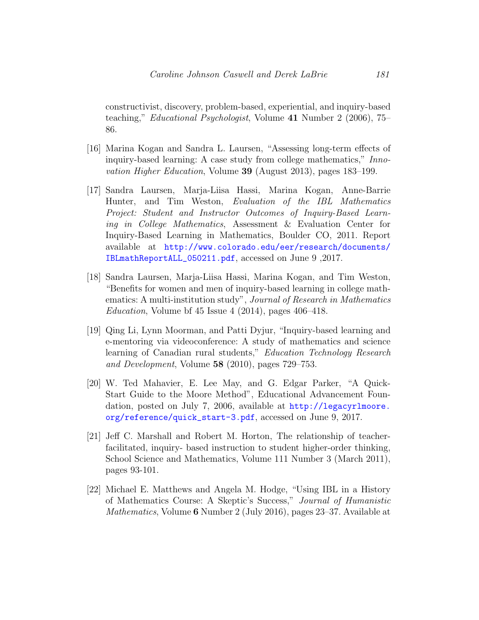constructivist, discovery, problem-based, experiential, and inquiry-based teaching," Educational Psychologist, Volume 41 Number 2 (2006), 75– 86.

- <span id="page-21-3"></span>[16] Marina Kogan and Sandra L. Laursen, "Assessing long-term effects of inquiry-based learning: A case study from college mathematics," Innovation Higher Education, Volume 39 (August 2013), pages 183–199.
- <span id="page-21-1"></span>[17] Sandra Laursen, Marja-Liisa Hassi, Marina Kogan, Anne-Barrie Hunter, and Tim Weston, Evaluation of the IBL Mathematics Project: Student and Instructor Outcomes of Inquiry-Based Learning in College Mathematics, Assessment & Evaluation Center for Inquiry-Based Learning in Mathematics, Boulder CO, 2011. Report available at [http://www.colorado.edu/eer/research/documents/](http://www.colorado.edu/eer/research/documents/IBLmathReportALL_050211.pdf) [IBLmathReportALL\\_050211.pdf](http://www.colorado.edu/eer/research/documents/IBLmathReportALL_050211.pdf), accessed on June 9 ,2017.
- <span id="page-21-4"></span>[18] Sandra Laursen, Marja-Liisa Hassi, Marina Kogan, and Tim Weston, "Benefits for women and men of inquiry-based learning in college mathematics: A multi-institution study", Journal of Research in Mathematics Education, Volume bf  $45$  Issue  $4$   $(2014)$ , pages  $406-418$ .
- <span id="page-21-5"></span>[19] Qing Li, Lynn Moorman, and Patti Dyjur, "Inquiry-based learning and e-mentoring via videoconference: A study of mathematics and science learning of Canadian rural students," Education Technology Research and Development, Volume 58 (2010), pages 729–753.
- <span id="page-21-0"></span>[20] W. Ted Mahavier, E. Lee May, and G. Edgar Parker, "A Quick-Start Guide to the Moore Method", Educational Advancement Foundation, posted on July 7, 2006, available at [http://legacyrlmoore.](http://legacyrlmoore.org/reference/quick_start-3.pdf) [org/reference/quick\\_start-3.pdf](http://legacyrlmoore.org/reference/quick_start-3.pdf), accessed on June 9, 2017.
- <span id="page-21-2"></span>[21] Jeff C. Marshall and Robert M. Horton, The relationship of teacherfacilitated, inquiry- based instruction to student higher-order thinking, School Science and Mathematics, Volume 111 Number 3 (March 2011), pages 93-101.
- <span id="page-21-6"></span>[22] Michael E. Matthews and Angela M. Hodge, "Using IBL in a History of Mathematics Course: A Skeptic's Success," Journal of Humanistic Mathematics, Volume 6 Number 2 (July 2016), pages 23–37. Available at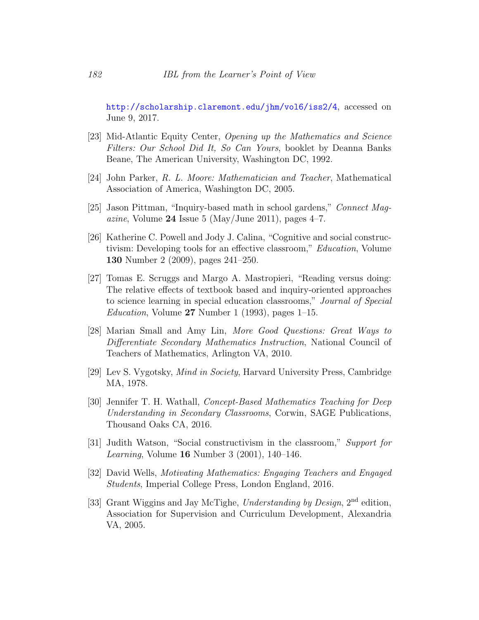<http://scholarship.claremont.edu/jhm/vol6/iss2/4>, accessed on June 9, 2017.

- <span id="page-22-5"></span>[23] Mid-Atlantic Equity Center, Opening up the Mathematics and Science Filters: Our School Did It, So Can Yours, booklet by Deanna Banks Beane, The American University, Washington DC, 1992.
- <span id="page-22-3"></span>[24] John Parker, R. L. Moore: Mathematician and Teacher, Mathematical Association of America, Washington DC, 2005.
- <span id="page-22-1"></span>[25] Jason Pittman, "Inquiry-based math in school gardens," Connect Mag*azine*, Volume 24 Issue 5 (May/June 2011), pages  $4-7$ .
- <span id="page-22-8"></span>[26] Katherine C. Powell and Jody J. Calina, "Cognitive and social constructivism: Developing tools for an effective classroom," Education, Volume 130 Number 2 (2009), pages 241–250.
- <span id="page-22-9"></span>[27] Tomas E. Scruggs and Margo A. Mastropieri, "Reading versus doing: The relative effects of textbook based and inquiry-oriented approaches to science learning in special education classrooms," Journal of Special *Education*, Volume  $27$  Number 1 (1993), pages 1–15.
- <span id="page-22-4"></span>[28] Marian Small and Amy Lin, More Good Questions: Great Ways to Differentiate Secondary Mathematics Instruction, National Council of Teachers of Mathematics, Arlington VA, 2010.
- <span id="page-22-2"></span>[29] Lev S. Vygotsky, Mind in Society, Harvard University Press, Cambridge MA, 1978.
- <span id="page-22-7"></span>[30] Jennifer T. H. Wathall, Concept-Based Mathematics Teaching for Deep Understanding in Secondary Classrooms, Corwin, SAGE Publications, Thousand Oaks CA, 2016.
- [31] Judith Watson, "Social constructivism in the classroom," Support for Learning, Volume 16 Number 3 (2001), 140–146.
- <span id="page-22-0"></span>[32] David Wells, Motivating Mathematics: Engaging Teachers and Engaged Students, Imperial College Press, London England, 2016.
- <span id="page-22-6"></span>[33] Grant Wiggins and Jay McTighe, Understanding by Design, 2nd edition, Association for Supervision and Curriculum Development, Alexandria VA, 2005.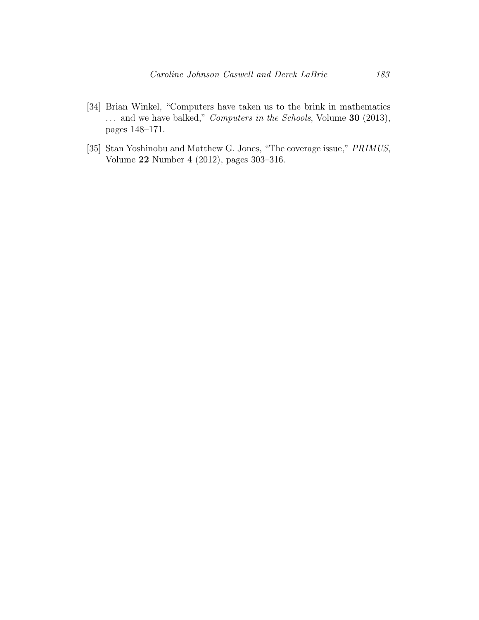- <span id="page-23-0"></span>[34] Brian Winkel, "Computers have taken us to the brink in mathematics ... and we have balked," *Computers in the Schools*, Volume 30 (2013), pages 148–171.
- <span id="page-23-1"></span>[35] Stan Yoshinobu and Matthew G. Jones, "The coverage issue," PRIMUS, Volume 22 Number 4 (2012), pages 303–316.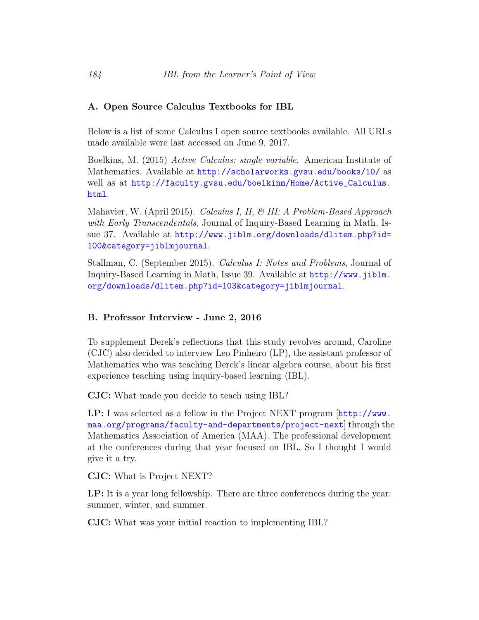## <span id="page-24-1"></span>A. Open Source Calculus Textbooks for IBL

Below is a list of some Calculus I open source textbooks available. All URLs made available were last accessed on June 9, 2017.

Boelkins, M. (2015) Active Calculus: single variable. American Institute of Mathematics. Available at <http://scholarworks.gvsu.edu/books/10/> as well as at [http://faculty.gvsu.edu/boelkinm/Home/Active\\_Calculus.](http://faculty.gvsu.edu/boelkinm/Home/Active_Calculus.html) [html](http://faculty.gvsu.edu/boelkinm/Home/Active_Calculus.html).

Mahavier, W. (April 2015). *Calculus I, II, & III: A Problem-Based Approach* with Early Transcendentals, Journal of Inquiry-Based Learning in Math, Issue 37. Available at [http://www.jiblm.org/downloads/dlitem.php?id=](http://www.jiblm.org/downloads/dlitem.php?id=100&category=jiblmjournal) [100&category=jiblmjournal](http://www.jiblm.org/downloads/dlitem.php?id=100&category=jiblmjournal).

Stallman, C. (September 2015). Calculus I: Notes and Problems, Journal of Inquiry-Based Learning in Math, Issue 39. Available at [http://www.jiblm.](http://www.jiblm.org/downloads/dlitem.php?id=103&category=jiblmjournal) [org/downloads/dlitem.php?id=103&category=jiblmjournal](http://www.jiblm.org/downloads/dlitem.php?id=103&category=jiblmjournal).

## <span id="page-24-0"></span>B. Professor Interview - June 2, 2016

To supplement Derek's reflections that this study revolves around, Caroline (CJC) also decided to interview Leo Pinheiro (LP), the assistant professor of Mathematics who was teaching Derek's linear algebra course, about his first experience teaching using inquiry-based learning (IBL).

CJC: What made you decide to teach using IBL?

LP: I was selected as a fellow in the Project NEXT program [[http://www.](http://www.maa.org/programs/faculty-and-departments/project-next) [maa.org/programs/faculty-and-departments/project-next](http://www.maa.org/programs/faculty-and-departments/project-next)] through the Mathematics Association of America (MAA). The professional development at the conferences during that year focused on IBL. So I thought I would give it a try.

CJC: What is Project NEXT?

LP: It is a year long fellowship. There are three conferences during the year: summer, winter, and summer.

CJC: What was your initial reaction to implementing IBL?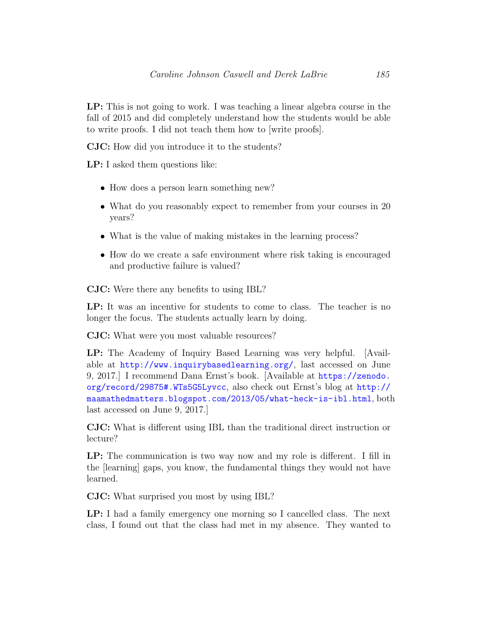LP: This is not going to work. I was teaching a linear algebra course in the fall of 2015 and did completely understand how the students would be able to write proofs. I did not teach them how to [write proofs].

CJC: How did you introduce it to the students?

LP: I asked them questions like:

- How does a person learn something new?
- What do you reasonably expect to remember from your courses in 20 years?
- What is the value of making mistakes in the learning process?
- How do we create a safe environment where risk taking is encouraged and productive failure is valued?

CJC: Were there any benefits to using IBL?

LP: It was an incentive for students to come to class. The teacher is no longer the focus. The students actually learn by doing.

CJC: What were you most valuable resources?

LP: The Academy of Inquiry Based Learning was very helpful. [Available at <http://www.inquirybasedlearning.org/>, last accessed on June 9, 2017.] I recommend Dana Ernst's book. [Available at [https://zenodo.](https://zenodo.org/record/29875#.WTs5G5Lyvcc) [org/record/29875#.WTs5G5Lyvcc](https://zenodo.org/record/29875#.WTs5G5Lyvcc), also check out Ernst's blog at [http://](http://maamathedmatters.blogspot.com/2013/05/what-heck-is-ibl.html) [maamathedmatters.blogspot.com/2013/05/what-heck-is-ibl.html](http://maamathedmatters.blogspot.com/2013/05/what-heck-is-ibl.html), both last accessed on June 9, 2017.]

CJC: What is different using IBL than the traditional direct instruction or lecture?

LP: The communication is two way now and my role is different. I fill in the [learning] gaps, you know, the fundamental things they would not have learned.

CJC: What surprised you most by using IBL?

LP: I had a family emergency one morning so I cancelled class. The next class, I found out that the class had met in my absence. They wanted to